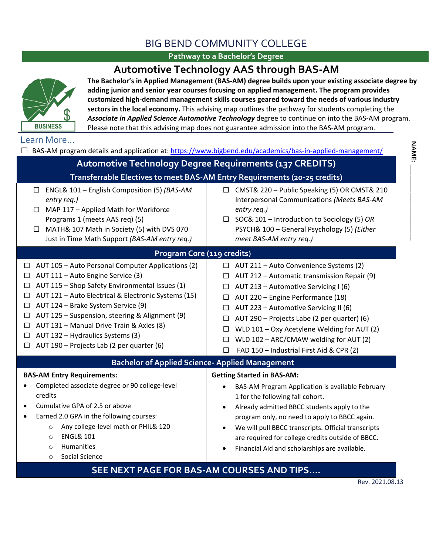## BIG BEND COMMUNITY COLLEGE

### **Pathway to a Bachelor's Degree**

## **Automotive Technology AAS through BAS-AM**



Please note that this advising map does not guarantee admission into the BAS-AM program. **The Bachelor's in Applied Management (BAS-AM) degree builds upon your existing associate degree by adding junior and senior year courses focusing on applied management. The program provides customized high-demand management skills courses geared toward the needs of various industry sectors in the local economy.** This advising map outlines the pathway for students completing the *Associate in Applied Science Automotive Technology* degree to continue on into the BAS-AM program.

#### Learn More…

| $\Box$                                                                                                                                                                                                                                                                                                                                                                                                                                                                 | BAS-AM program details and application at: https://www.bigbend.edu/academics/bas-in-applied-management/                                                                                                                                                                                                                                                                                                                                                    |
|------------------------------------------------------------------------------------------------------------------------------------------------------------------------------------------------------------------------------------------------------------------------------------------------------------------------------------------------------------------------------------------------------------------------------------------------------------------------|------------------------------------------------------------------------------------------------------------------------------------------------------------------------------------------------------------------------------------------------------------------------------------------------------------------------------------------------------------------------------------------------------------------------------------------------------------|
| <b>Automotive Technology Degree Requirements (137 CREDITS)</b>                                                                                                                                                                                                                                                                                                                                                                                                         |                                                                                                                                                                                                                                                                                                                                                                                                                                                            |
|                                                                                                                                                                                                                                                                                                                                                                                                                                                                        | Transferrable Electives to meet BAS-AM Entry Requirements (20-25 credits)                                                                                                                                                                                                                                                                                                                                                                                  |
| ENGL& 101 - English Composition (5) (BAS-AM<br>□<br>entry req.)<br>MAP 117 - Applied Math for Workforce<br>□<br>Programs 1 (meets AAS req) (5)<br>MATH& 107 Math in Society (5) with DVS 070<br>□<br>Just in Time Math Support (BAS-AM entry req.)                                                                                                                                                                                                                     | CMST& 220 - Public Speaking (5) OR CMST& 210<br>$\Box$<br>Interpersonal Communications (Meets BAS-AM<br>entry req.)<br>SOC& 101 - Introduction to Sociology (5) OR<br>$\Box$<br>PSYCH& 100 - General Psychology (5) (Either<br>meet BAS-AM entry req.)                                                                                                                                                                                                     |
| Program Core (119 credits)                                                                                                                                                                                                                                                                                                                                                                                                                                             |                                                                                                                                                                                                                                                                                                                                                                                                                                                            |
| AUT 105 - Auto Personal Computer Applications (2)<br>$\Box$<br>AUT 111 - Auto Engine Service (3)<br>□<br>AUT 115 - Shop Safety Environmental Issues (1)<br>□<br>AUT 121 - Auto Electrical & Electronic Systems (15)<br>□<br>AUT 124 - Brake System Service (9)<br>□<br>AUT 125 - Suspension, steering & Alignment (9)<br>□<br>AUT 131 - Manual Drive Train & Axles (8)<br>□<br>AUT 132 - Hydraulics Systems (3)<br>□<br>AUT 190 - Projects Lab (2 per quarter (6)<br>□ | $\Box$ AUT 211 - Auto Convenience Systems (2)<br>AUT 212 - Automatic transmission Repair (9)<br>$\Box$<br>$\Box$ AUT 213 - Automotive Servicing I (6)<br>AUT 220 - Engine Performance (18)<br>□<br>AUT 223 - Automotive Servicing II (6)<br>□<br>AUT 290 – Projects Labe (2 per quarter) (6)<br>□<br>WLD 101 - Oxy Acetylene Welding for AUT (2)<br>□<br>WLD 102 - ARC/CMAW welding for AUT (2)<br>□<br>FAD 150 - Industrial First Aid & CPR (2)<br>$\Box$ |
| <b>Bachelor of Applied Science- Applied Management</b>                                                                                                                                                                                                                                                                                                                                                                                                                 |                                                                                                                                                                                                                                                                                                                                                                                                                                                            |
| <b>BAS-AM Entry Requirements:</b><br>Completed associate degree or 90 college-level<br>credits<br>Cumulative GPA of 2.5 or above<br>Earned 2.0 GPA in the following courses:<br>Any college-level math or PHIL& 120<br>$\circ$<br><b>ENGL&amp; 101</b><br>$\circ$<br>Humanities<br>$\circ$<br>Social Science<br>$\circ$                                                                                                                                                | <b>Getting Started in BAS-AM:</b><br>BAS-AM Program Application is available February<br>$\bullet$<br>1 for the following fall cohort.<br>Already admitted BBCC students apply to the<br>٠<br>program only, no need to apply to BBCC again.<br>We will pull BBCC transcripts. Official transcripts<br>$\bullet$<br>are required for college credits outside of BBCC.<br>Financial Aid and scholarships are available.                                      |
| SEE NEXT PAGE FOR BAS-AM COURSES AND TIPS                                                                                                                                                                                                                                                                                                                                                                                                                              |                                                                                                                                                                                                                                                                                                                                                                                                                                                            |
|                                                                                                                                                                                                                                                                                                                                                                                                                                                                        | Rev. 2021.08.13                                                                                                                                                                                                                                                                                                                                                                                                                                            |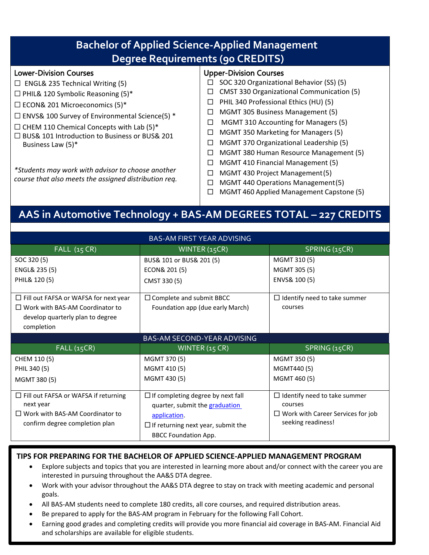| <b>Bachelor of Applied Science-Applied Management</b><br><b>Degree Requirements (90 CREDITS)</b>                                                                                                                                                                                                                                                |                                                                                                                                                                                                                                                                                                                                                                                                   |  |  |  |  |
|-------------------------------------------------------------------------------------------------------------------------------------------------------------------------------------------------------------------------------------------------------------------------------------------------------------------------------------------------|---------------------------------------------------------------------------------------------------------------------------------------------------------------------------------------------------------------------------------------------------------------------------------------------------------------------------------------------------------------------------------------------------|--|--|--|--|
| <b>Lower-Division Courses</b><br>$\Box$ ENGL& 235 Technical Writing (5)<br>$\Box$ PHIL& 120 Symbolic Reasoning (5)*<br>$\Box$ ECON& 201 Microeconomics (5)*<br>$\Box$ ENVS& 100 Survey of Environmental Science(5) *<br>$\Box$ CHEM 110 Chemical Concepts with Lab (5)*<br>□ BUS& 101 Introduction to Business or BUS& 201<br>Business Law (5)* | <b>Upper-Division Courses</b><br>SOC 320 Organizational Behavior (SS) (5)<br><b>CMST 330 Organizational Communication (5)</b><br>⊔<br>PHIL 340 Professional Ethics (HU) (5)<br>MGMT 305 Business Management (5)<br>MGMT 310 Accounting for Managers (5)<br>П<br>MGMT 350 Marketing for Managers (5)<br>MGMT 370 Organizational Leadership (5)<br>┙<br>MGMT 380 Human Resource Management (5)<br>┓ |  |  |  |  |
| *Students may work with advisor to choose another<br>course that also meets the assigned distribution req.                                                                                                                                                                                                                                      | MGMT 410 Financial Management (5)<br>- 1<br>MGMT 430 Project Management (5)<br>┓<br>MGMT 440 Operations Management (5)<br>$\blacksquare$<br>MGMT 460 Applied Management Capstone (5)                                                                                                                                                                                                              |  |  |  |  |

# **AAS in Automotive Technology + BAS-AM DEGREES TOTAL – 227 CREDITS**

| <b>BAS-AM FIRST YEAR ADVISING</b>            |                                           |                                          |  |  |  |
|----------------------------------------------|-------------------------------------------|------------------------------------------|--|--|--|
| FALL(15 CR)                                  | WINTER (15CR)                             | SPRING (15CR)                            |  |  |  |
| SOC 320 (5)                                  | BUS& 101 or BUS& 201 (5)                  | MGMT 310 (5)                             |  |  |  |
| ENGL& 235 (5)                                | ECON& 201 (5)                             | MGMT 305 (5)                             |  |  |  |
| PHIL& 120 (5)                                | CMST 330 (5)                              | ENVS& 100 (5)                            |  |  |  |
| $\Box$ Fill out FAFSA or WAFSA for next year | $\Box$ Complete and submit BBCC           | $\Box$ Identify need to take summer      |  |  |  |
| $\Box$ Work with BAS-AM Coordinator to       | Foundation app (due early March)          | courses                                  |  |  |  |
| develop quarterly plan to degree             |                                           |                                          |  |  |  |
| completion                                   |                                           |                                          |  |  |  |
|                                              | <b>BAS-AM SECOND-YEAR ADVISING</b>        |                                          |  |  |  |
| <b>FALL (15CR)</b>                           | WINTER (15 CR)                            | SPRING (15CR)                            |  |  |  |
| CHEM 110 (5)                                 | MGMT 370 (5)                              | MGMT 350 (5)                             |  |  |  |
| PHIL 340 (5)                                 | MGMT 410 (5)                              | MGMT440 (5)                              |  |  |  |
| MGMT 380 (5)                                 | MGMT 430 (5)                              | MGMT 460 (5)                             |  |  |  |
| $\Box$ Fill out FAFSA or WAFSA if returning  | $\Box$ If completing degree by next fall  | $\Box$ Identify need to take summer      |  |  |  |
| next year                                    | quarter, submit the graduation            | courses                                  |  |  |  |
| $\Box$ Work with BAS-AM Coordinator to       | application.                              | $\Box$ Work with Career Services for job |  |  |  |
| confirm degree completion plan               | $\Box$ If returning next year, submit the | seeking readiness!                       |  |  |  |
|                                              | <b>BBCC Foundation App.</b>               |                                          |  |  |  |

### **TIPS FOR PREPARING FOR THE BACHELOR OF APPLIED SCIENCE-APPLIED MANAGEMENT PROGRAM**

- Explore subjects and topics that you are interested in learning more about and/or connect with the career you are interested in pursuing throughout the AA&S DTA degree.
- Work with your advisor throughout the AA&S DTA degree to stay on track with meeting academic and personal goals.
- All BAS-AM students need to complete 180 credits, all core courses, and required distribution areas.
- Be prepared to apply for the BAS-AM program in February for the following Fall Cohort.

í

• Earning good grades and completing credits will provide you more financial aid coverage in BAS-AM. Financial Aid and scholarships are available for eligible students.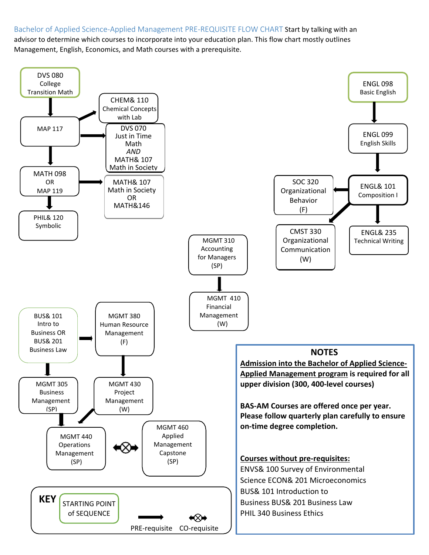## Bachelor of Applied Science-Applied Management PRE-REQUISITE FLOW CHART Start by talking with an

advisor to determine which courses to incorporate into your education plan. This flow chart mostly outlines Management, English, Economics, and Math courses with a prerequisite.

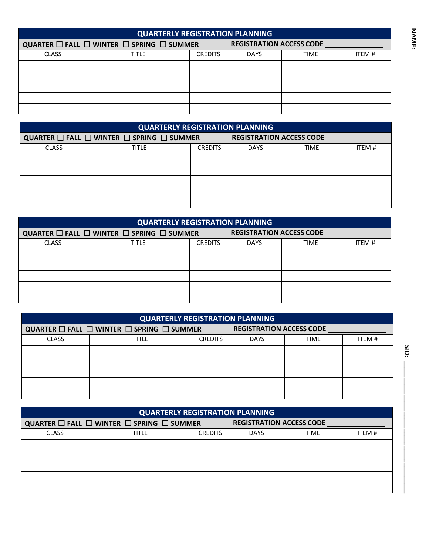| <b>QUARTERLY REGISTRATION PLANNING</b>                        |              |                |                                 |             |       |
|---------------------------------------------------------------|--------------|----------------|---------------------------------|-------------|-------|
| QUARTER $\Box$ Fall $\Box$ Winter $\Box$ Spring $\Box$ Summer |              |                | <b>REGISTRATION ACCESS CODE</b> |             |       |
| <b>CLASS</b>                                                  | <b>TITLE</b> | <b>CREDITS</b> | <b>DAYS</b>                     | <b>TIME</b> | ITEM# |
|                                                               |              |                |                                 |             |       |
|                                                               |              |                |                                 |             |       |
|                                                               |              |                |                                 |             |       |
|                                                               |              |                |                                 |             |       |
|                                                               |              |                |                                 |             |       |

| <b>QUARTERLY REGISTRATION PLANNING</b>                        |              |                |                                 |             |       |
|---------------------------------------------------------------|--------------|----------------|---------------------------------|-------------|-------|
| QUARTER $\Box$ FALL $\Box$ WINTER $\Box$ SPRING $\Box$ SUMMER |              |                | <b>REGISTRATION ACCESS CODE</b> |             |       |
| <b>CLASS</b>                                                  | <b>TITLE</b> | <b>CREDITS</b> | <b>DAYS</b>                     | <b>TIME</b> | ITEM# |
|                                                               |              |                |                                 |             |       |
|                                                               |              |                |                                 |             |       |
|                                                               |              |                |                                 |             |       |
|                                                               |              |                |                                 |             |       |
|                                                               |              |                |                                 |             |       |
|                                                               |              |                |                                 |             |       |

| <b>QUARTERLY REGISTRATION PLANNING</b>                                    |              |                |                                 |             |       |
|---------------------------------------------------------------------------|--------------|----------------|---------------------------------|-------------|-------|
| QUARTER $\square$ Fall $\square$ Winter $\square$ Spring $\square$ Summer |              |                | <b>REGISTRATION ACCESS CODE</b> |             |       |
| <b>CLASS</b>                                                              | <b>TITLE</b> | <b>CREDITS</b> | <b>DAYS</b>                     | <b>TIME</b> | ITEM# |
|                                                                           |              |                |                                 |             |       |
|                                                                           |              |                |                                 |             |       |
|                                                                           |              |                |                                 |             |       |
|                                                                           |              |                |                                 |             |       |
|                                                                           |              |                |                                 |             |       |
|                                                                           |              |                |                                 |             |       |

| <b>QUARTERLY REGISTRATION PLANNING</b>                                                                       |                                                                           |                |                                 |             |       |
|--------------------------------------------------------------------------------------------------------------|---------------------------------------------------------------------------|----------------|---------------------------------|-------------|-------|
| QUARTER $\square$ Fall $\square$ winter $\square$ spring $\square$ summer<br><b>REGISTRATION ACCESS CODE</b> |                                                                           |                |                                 |             |       |
| <b>CLASS</b>                                                                                                 | <b>TITLE</b>                                                              | <b>CREDITS</b> | <b>DAYS</b>                     | <b>TIME</b> | ITEM# |
|                                                                                                              |                                                                           |                |                                 |             |       |
|                                                                                                              |                                                                           |                |                                 |             |       |
|                                                                                                              |                                                                           |                |                                 |             |       |
|                                                                                                              |                                                                           |                |                                 |             |       |
|                                                                                                              |                                                                           |                |                                 |             |       |
|                                                                                                              |                                                                           |                |                                 |             |       |
| <b>QUARTERLY REGISTRATION PLANNING</b>                                                                       |                                                                           |                |                                 |             |       |
|                                                                                                              | QUARTER $\square$ Fall $\square$ winter $\square$ spring $\square$ summer |                | <b>REGISTRATION ACCESS CODE</b> |             |       |
| -----                                                                                                        |                                                                           |                |                                 |             |       |

| <b>QUARTERLY REGISTRATION PLANNING</b>                                    |              |                |                                 |             |       |  |
|---------------------------------------------------------------------------|--------------|----------------|---------------------------------|-------------|-------|--|
| QUARTER $\square$ Fall $\square$ Winter $\square$ Spring $\square$ Summer |              |                | <b>REGISTRATION ACCESS CODE</b> |             |       |  |
| <b>CLASS</b>                                                              | <b>TITLE</b> | <b>CREDITS</b> | <b>DAYS</b>                     | <b>TIME</b> | ITEM# |  |
|                                                                           |              |                |                                 |             |       |  |
|                                                                           |              |                |                                 |             |       |  |
|                                                                           |              |                |                                 |             |       |  |
|                                                                           |              |                |                                 |             |       |  |
|                                                                           |              |                |                                 |             |       |  |

**N AME:**